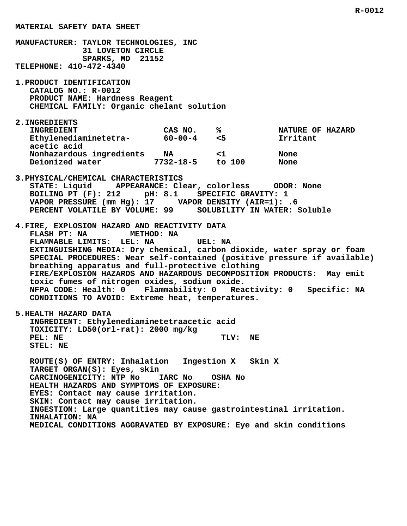**MANUFACTURER: TAYLOR TECHNOLOGIES, INC 31 LOVETON CIRCLE SPARKS, MD 21152 TELEPHONE: 410-472-4340 1.PRODUCT IDENTIFICATION CATALOG NO.: R-0012 PRODUCT NAME: Hardness Reagent CHEMICAL FAMILY: Organic chelant solution 2.INGREDIENTS INGREDIENT CAS NO. % NATURE OF HAZARD Ethylenediaminetetra- 60-00-4 <5 Irritant acetic acid Nonhazardous ingredients NA <1 None Deionized water 7732-18-5 to 100 None 3.PHYSICAL/CHEMICAL CHARACTERISTICS STATE: Liquid APPEARANCE: Clear, colorless ODOR: None BOILING PT (F): 212 pH: 8.1 SPECIFIC GRAVITY: 1 VAPOR PRESSURE (mm Hg): 17 VAPOR DENSITY (AIR=1): .6 PERCENT VOLATILE BY VOLUME: 99 SOLUBILITY IN WATER: Soluble 4.FIRE, EXPLOSION HAZARD AND REACTIVITY DATA FLASH PT: NA METHOD: NA FLAMMABLE LIMITS: LEL: NA UEL: NA EXTINGUISHING MEDIA: Dry chemical, carbon dioxide, water spray or foam SPECIAL PROCEDURES: Wear self-contained (positive pressure if available) breathing apparatus and full-protective clothing FIRE/EXPLOSION HAZARDS AND HAZARDOUS DECOMPOSITION PRODUCTS: May emit toxic fumes of nitrogen oxides, sodium oxide. NFPA CODE: Health: 0 Flammability: 0 Reactivity: 0 Specific: NA CONDITIONS TO AVOID: Extreme heat, temperatures. 5.HEALTH HAZARD DATA INGREDIENT: Ethylenediaminetetraacetic acid TOXICITY: LD50(orl-rat): 2000 mg/kg** PEL: NE TLV: NE  **STEL: NE ROUTE(S) OF ENTRY: Inhalation Ingestion X Skin X TARGET ORGAN(S): Eyes, skin CARCINOGENICITY: NTP No IARC No OSHA No HEALTH HAZARDS AND SYMPTOMS OF EXPOSURE: EYES: Contact may cause irritation. SKIN: Contact may cause irritation. INGESTION: Large quantities may cause gastrointestinal irritation. INHALATION: NA**

 **MATERIAL SAFETY DATA SHEET**

 **MEDICAL CONDITIONS AGGRAVATED BY EXPOSURE: Eye and skin conditions**